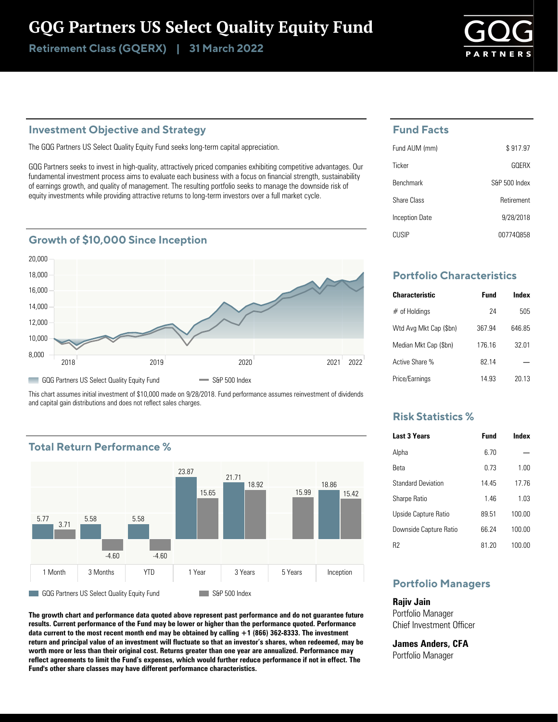## GQG Partners US Select Quality Equity Fund

Retirement Class (GQERX) | 31 March 2022

#### **Investment Objective and Strategy**

The GQG Partners US Select Quality Equity Fund seeks long-term capital appreciation.

GQG Partners seeks to invest in high-quality, attractively priced companies exhibiting competitive advantages. Our fundamental investment process aims to evaluate each business with a focus on financial strength, sustainability of earnings growth, and quality of management. The resulting portfolio seeks to manage the downside risk of equity investments while providing attractive returns to long-term investors over a full market cycle.

#### **Growth of \$10,000 Since Inception**



This chart assumes initial investment of \$10,000 made on 9/28/2018. Fund performance assumes reinvestment of dividends and capital gain distributions and does not reflect sales charges.

### **Total Return Performance %**



**The growth chart and performance data quoted above represent past performance and do not guarantee future results. Current performance of the Fund may be lower or higher than the performance quoted. Performance data current to the most recent month end may be obtained by calling +1 (866) 362-8333. The investment return and principal value of an investment will fluctuate so that an investor's shares, when redeemed, may be worth more or less than their original cost. Returns greater than one year are annualized. Performance may reflect agreements to limit the Fund's expenses, which would further reduce performance if not in effect. The Fund's other share classes may have different performance characteristics.**

#### **Fund Facts**

| Fund AUM (mm)    | \$917.97      |
|------------------|---------------|
| Ticker           | GOFRX         |
| <b>Benchmark</b> | S&P 500 Index |
| Share Class      | Retirement    |
| Inception Date   | 9/28/2018     |
| CI ISIP          | 007740858     |

## **Portfolio Characteristics**

| <b>Characteristic</b>  | <b>Fund</b> | Index  |
|------------------------|-------------|--------|
| $#$ of Holdings        | 24          | 505    |
| Wtd Avg Mkt Cap (\$bn) | 367.94      | 646 85 |
| Median Mkt Cap (\$bn)  | 176 16      | 32.01  |
| Active Share %         | 82 14       |        |
| Price/Earnings         | 14 93       | 20 13  |

#### **Risk Statistics %**

| <b>Last 3 Years</b>       | Fund  | Index  |
|---------------------------|-------|--------|
| Alpha                     | 6.70  |        |
| Reta                      | 0.73  | 1.00   |
| <b>Standard Deviation</b> | 14 45 | 1776   |
| <b>Sharpe Ratio</b>       | 146   | 103    |
| Upside Capture Ratio      | 89.51 | 100.00 |
| Downside Capture Ratio    | 66 24 | 100.00 |
| R2                        | 81 20 | 100.00 |

### **Portfolio Managers**

**Rajiv Jain** Portfolio Manager Chief Investment Officer

**James Anders, CFA** Portfolio Manager

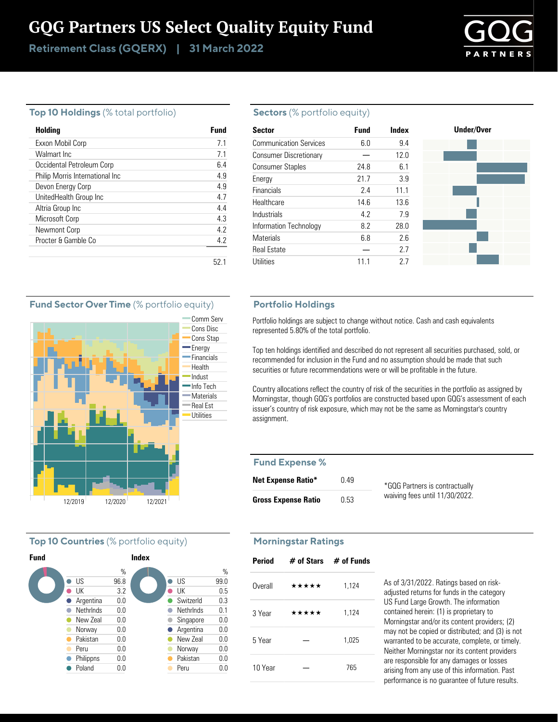# GQG Partners US Select Quality Equity Fund

Retirement Class (GQERX) | 31 March 2022



#### **Top 10 Holdings** (% total portfolio)

| Holding                         | Fund |
|---------------------------------|------|
| Exxon Mobil Corp                | 71   |
| Walmart Inc                     | 7.1  |
| Occidental Petroleum Corp       | 6.4  |
| Philip Morris International Inc | 49   |
| Devon Energy Corp               | 4.9  |
| UnitedHealth Group Inc          | 47   |
| Altria Group Inc                | 4.4  |
| Microsoft Corp                  | 43   |
| Newmont Corp                    | 42   |
| Procter & Gamble Co.            | 4.2  |
|                                 |      |
|                                 | 52.  |

#### **Sectors** (% portfolio equity)

| <b>Sector</b>                 | <b>Fund</b> | Index |
|-------------------------------|-------------|-------|
| <b>Communication Services</b> | 6.0         | 9.4   |
| <b>Consumer Discretionary</b> |             | 12.0  |
| <b>Consumer Staples</b>       | 24.8        | 6.1   |
| Energy                        | 21.7        | 3.9   |
| <b>Financials</b>             | 2.4         | 11.1  |
| Healthcare                    | 14.6        | 13.6  |
| Industrials                   | 4.2         | 7.9   |
| Information Technology        | 8.2         | 28.0  |
| <b>Materials</b>              | 6.8         | 2.6   |
| <b>Real Estate</b>            |             | 2.7   |
| Utilities                     | 11.1        | 2.7   |

#### **Portfolio Holdings**

Portfolio holdings are subject to change without notice. Cash and cash equivalents represented 5.80% of the total portfolio.

Top ten holdings identified and described do not represent all securities purchased, sold, or recommended for inclusion in the Fund and no assumption should be made that such securities or future recommendations were or will be profitable in the future.

Country allocations reflect the country of risk of the securities in the portfolio as assigned by Morningstar, though GQG's portfolios are constructed based upon GQG's assessment of each issuer's country of risk exposure, which may not be the same as Morningstar's country assignment.

#### **Fund Expense %**

| <b>Net Expense Ratio*</b>  | 0.49 | *GQG Partners is contractually |
|----------------------------|------|--------------------------------|
| <b>Gross Expense Ratio</b> | 0.53 | waiving fees until 11/30/2022. |

## **Morningstar Ratings**

| <b>Period</b> |       | $#$ of Stars $#$ of Funds |
|---------------|-------|---------------------------|
| Overall       | ***** | 1,124                     |
| 3 Year        | ***** | 1,124                     |
| 5 Year        |       | 1,025                     |
| 10 Year       |       | 765                       |

As of 3/31/2022. Ratings based on riskadjusted returns for funds in the category US Fund Large Growth. The information contained herein: (1) is proprietary to Morningstar and/or its content providers; (2) may not be copied or distributed; and (3) is not warranted to be accurate, complete, or timely. Neither Morningstar nor its content providers are responsible for any damages or losses arising from any use of this information. Past performance is no guarantee of future results.

#### **Fund Sector Over Time** (% portfolio equity)



#### **Top 10 Countries** (% portfolio equity)